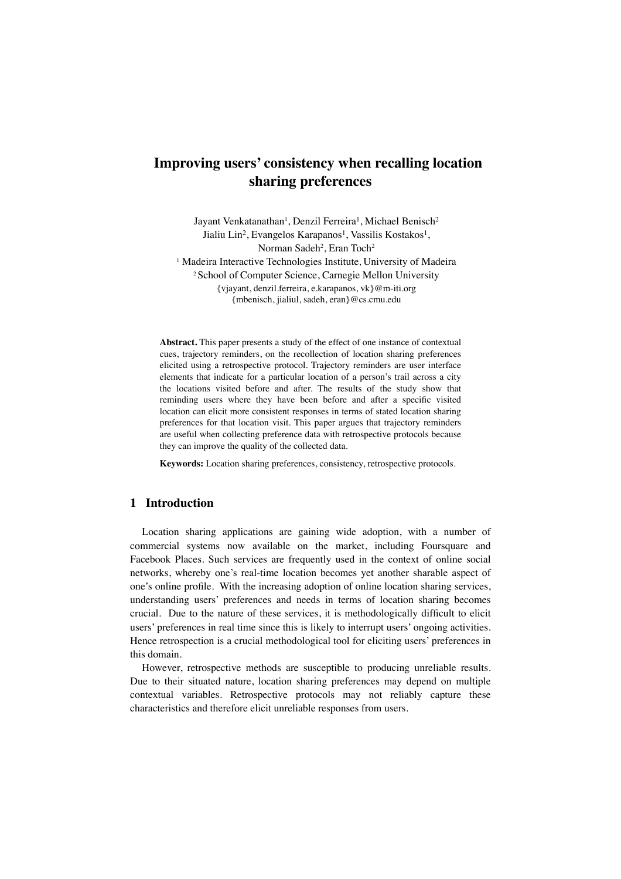# **Improving users' consistency when recalling location sharing preferences**

Jayant Venkatanathan<sup>1</sup>, Denzil Ferreira<sup>1</sup>, Michael Benisch<sup>2</sup> Jialiu Lin<sup>2</sup>, Evangelos Karapanos<sup>1</sup>, Vassilis Kostakos<sup>1</sup>, Norman Sadeh<sup>2</sup>, Eran Toch<sup>2</sup> <sup>1</sup> Madeira Interactive Technologies Institute, University of Madeira 2 School of Computer Science, Carnegie Mellon University {vjayant, denzil.ferreira, e.karapanos, vk}@m-iti.org {mbenisch, jialiul, sadeh, eran}@cs.cmu.edu

**Abstract.** This paper presents a study of the effect of one instance of contextual cues, trajectory reminders, on the recollection of location sharing preferences elicited using a retrospective protocol. Trajectory reminders are user interface elements that indicate for a particular location of a person's trail across a city the locations visited before and after. The results of the study show that reminding users where they have been before and after a specific visited location can elicit more consistent responses in terms of stated location sharing preferences for that location visit. This paper argues that trajectory reminders are useful when collecting preference data with retrospective protocols because they can improve the quality of the collected data.

**Keywords:** Location sharing preferences, consistency, retrospective protocols.

# **1 Introduction**

Location sharing applications are gaining wide adoption, with a number of commercial systems now available on the market, including Foursquare and Facebook Places. Such services are frequently used in the context of online social networks, whereby one's real-time location becomes yet another sharable aspect of one's online profile. With the increasing adoption of online location sharing services, understanding users' preferences and needs in terms of location sharing becomes crucial. Due to the nature of these services, it is methodologically difficult to elicit users' preferences in real time since this is likely to interrupt users' ongoing activities. Hence retrospection is a crucial methodological tool for eliciting users' preferences in this domain.

However, retrospective methods are susceptible to producing unreliable results. Due to their situated nature, location sharing preferences may depend on multiple contextual variables. Retrospective protocols may not reliably capture these characteristics and therefore elicit unreliable responses from users.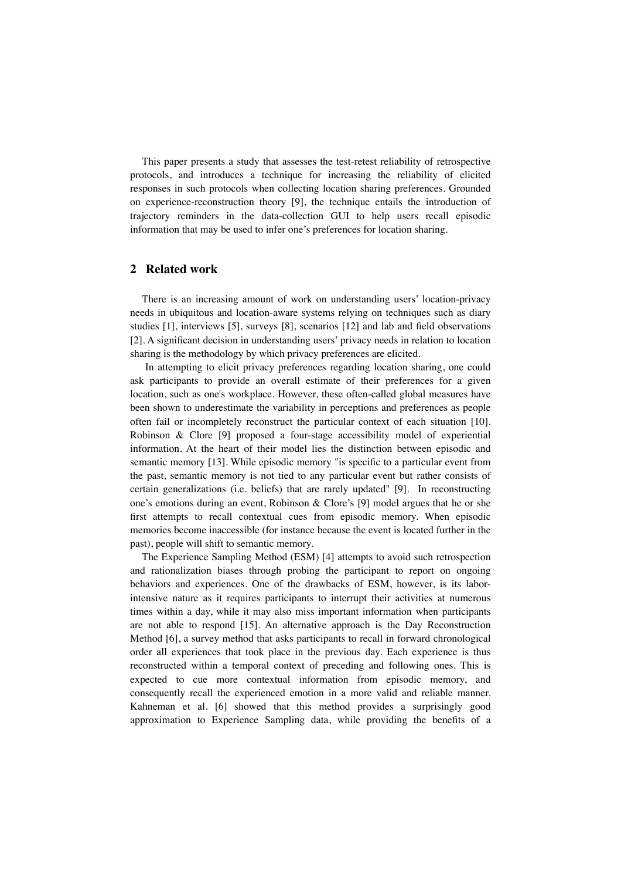This paper presents a study that assesses the test-retest reliability of retrospective protocols, and introduces a technique for increasing the reliability of elicited responses in such protocols when collecting location sharing preferences. Grounded on experience-reconstruction theory [9], the technique entails the introduction of trajectory reminders in the data-collection GUI to help users recall episodic information that may be used to infer one's preferences for location sharing.

## **2 Related work**

There is an increasing amount of work on understanding users' location-privacy needs in ubiquitous and location-aware systems relying on techniques such as diary studies [1], interviews [5], surveys [8], scenarios [12] and lab and field observations [2]. A significant decision in understanding users' privacy needs in relation to location sharing is the methodology by which privacy preferences are elicited.

 In attempting to elicit privacy preferences regarding location sharing, one could ask participants to provide an overall estimate of their preferences for a given location, such as one's workplace. However, these often-called global measures have been shown to underestimate the variability in perceptions and preferences as people often fail or incompletely reconstruct the particular context of each situation [10]. Robinson & Clore [9] proposed a four-stage accessibility model of experiential information. At the heart of their model lies the distinction between episodic and semantic memory [13]. While episodic memory "is specific to a particular event from the past, semantic memory is not tied to any particular event but rather consists of certain generalizations (i.e. beliefs) that are rarely updated" [9]. In reconstructing one's emotions during an event, Robinson & Clore's [9] model argues that he or she first attempts to recall contextual cues from episodic memory. When episodic memories become inaccessible (for instance because the event is located further in the past), people will shift to semantic memory.

The Experience Sampling Method (ESM) [4] attempts to avoid such retrospection and rationalization biases through probing the participant to report on ongoing behaviors and experiences. One of the drawbacks of ESM, however, is its laborintensive nature as it requires participants to interrupt their activities at numerous times within a day, while it may also miss important information when participants are not able to respond [15]. An alternative approach is the Day Reconstruction Method [6], a survey method that asks participants to recall in forward chronological order all experiences that took place in the previous day. Each experience is thus reconstructed within a temporal context of preceding and following ones. This is expected to cue more contextual information from episodic memory, and consequently recall the experienced emotion in a more valid and reliable manner. Kahneman et al. [6] showed that this method provides a surprisingly good approximation to Experience Sampling data, while providing the benefits of a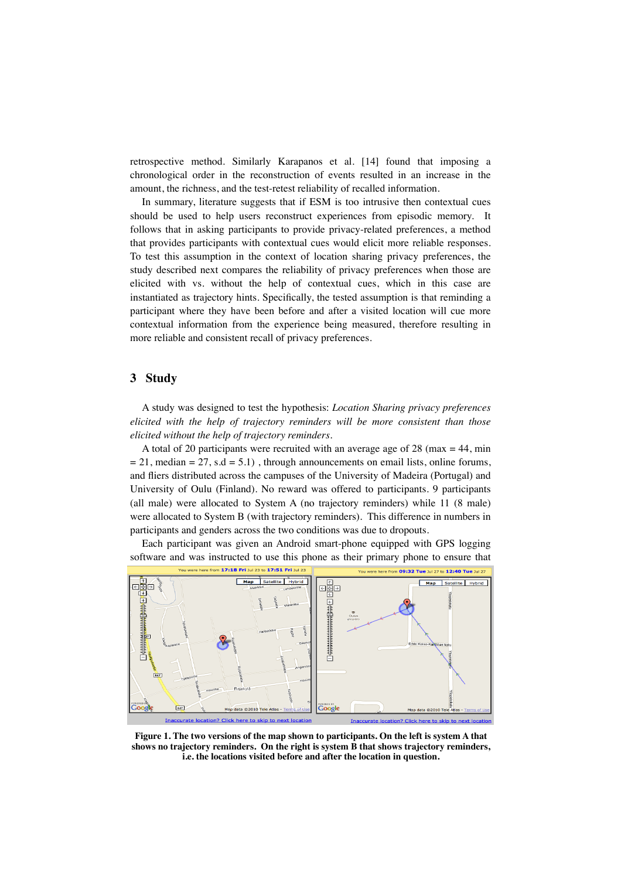retrospective method. Similarly Karapanos et al. [14] found that imposing a chronological order in the reconstruction of events resulted in an increase in the amount, the richness, and the test-retest reliability of recalled information.

In summary, literature suggests that if ESM is too intrusive then contextual cues should be used to help users reconstruct experiences from episodic memory. It follows that in asking participants to provide privacy-related preferences, a method that provides participants with contextual cues would elicit more reliable responses. To test this assumption in the context of location sharing privacy preferences, the study described next compares the reliability of privacy preferences when those are elicited with vs. without the help of contextual cues, which in this case are instantiated as trajectory hints. Specifically, the tested assumption is that reminding a participant where they have been before and after a visited location will cue more contextual information from the experience being measured, therefore resulting in more reliable and consistent recall of privacy preferences.

### **3 Study**

A study was designed to test the hypothesis: *Location Sharing privacy preferences elicited with the help of trajectory reminders will be more consistent than those elicited without the help of trajectory reminders.*

A total of 20 participants were recruited with an average age of 28 (max  $=$  44, min  $= 21$ , median  $= 27$ , s.d  $= 5.1$ ), through announcements on email lists, online forums, and fliers distributed across the campuses of the University of Madeira (Portugal) and University of Oulu (Finland). No reward was offered to participants. 9 participants (all male) were allocated to System A (no trajectory reminders) while 11 (8 male) were allocated to System B (with trajectory reminders). This difference in numbers in participants and genders across the two conditions was due to dropouts.

Each participant was given an Android smart-phone equipped with GPS logging software and was instructed to use this phone as their primary phone to ensure that



**Figure 1. The two versions of the map shown to participants. On the left is system A that shows no trajectory reminders. On the right is system B that shows trajectory reminders, i.e. the locations visited before and after the location in question.**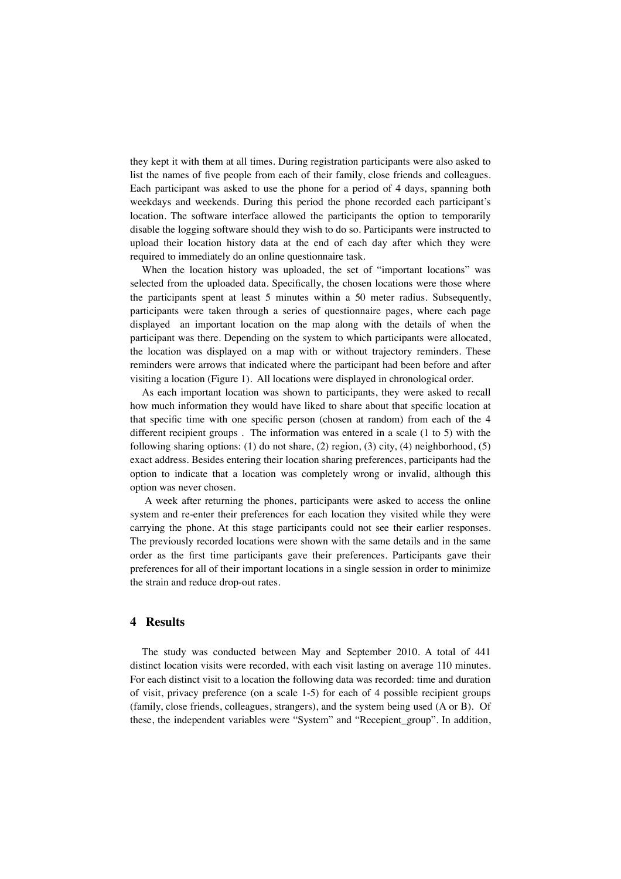they kept it with them at all times. During registration participants were also asked to list the names of five people from each of their family, close friends and colleagues. Each participant was asked to use the phone for a period of 4 days, spanning both weekdays and weekends. During this period the phone recorded each participant's location. The software interface allowed the participants the option to temporarily disable the logging software should they wish to do so. Participants were instructed to upload their location history data at the end of each day after which they were required to immediately do an online questionnaire task.

When the location history was uploaded, the set of "important locations" was selected from the uploaded data. Specifically, the chosen locations were those where the participants spent at least 5 minutes within a 50 meter radius. Subsequently, participants were taken through a series of questionnaire pages, where each page displayed an important location on the map along with the details of when the participant was there. Depending on the system to which participants were allocated, the location was displayed on a map with or without trajectory reminders. These reminders were arrows that indicated where the participant had been before and after visiting a location (Figure 1). All locations were displayed in chronological order.

As each important location was shown to participants, they were asked to recall how much information they would have liked to share about that specific location at that specific time with one specific person (chosen at random) from each of the 4 different recipient groups . The information was entered in a scale (1 to 5) with the following sharing options: (1) do not share, (2) region, (3) city, (4) neighborhood, (5) exact address. Besides entering their location sharing preferences, participants had the option to indicate that a location was completely wrong or invalid, although this option was never chosen.

 A week after returning the phones, participants were asked to access the online system and re-enter their preferences for each location they visited while they were carrying the phone. At this stage participants could not see their earlier responses. The previously recorded locations were shown with the same details and in the same order as the first time participants gave their preferences. Participants gave their preferences for all of their important locations in a single session in order to minimize the strain and reduce drop-out rates.

# **4 Results**

The study was conducted between May and September 2010. A total of 441 distinct location visits were recorded, with each visit lasting on average 110 minutes. For each distinct visit to a location the following data was recorded: time and duration of visit, privacy preference (on a scale 1-5) for each of 4 possible recipient groups (family, close friends, colleagues, strangers), and the system being used (A or B). Of these, the independent variables were "System" and "Recepient\_group". In addition,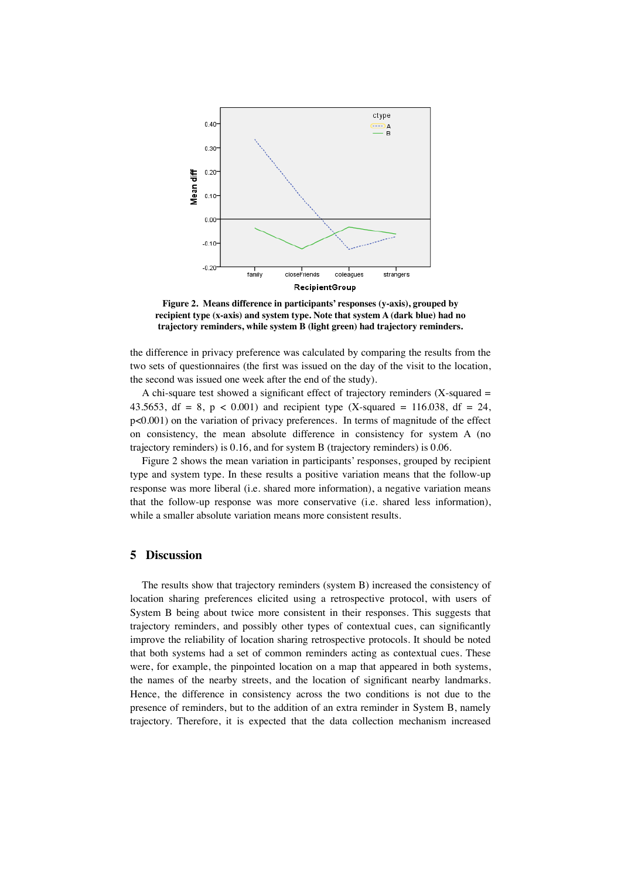

**Figure 2. Means difference in participants' responses (y-axis), grouped by recipient type (x-axis) and system type. Note that system A (dark blue) had no trajectory reminders, while system B (light green) had trajectory reminders.**

the difference in privacy preference was calculated by comparing the results from the two sets of questionnaires (the first was issued on the day of the visit to the location, the second was issued one week after the end of the study).

A chi-square test showed a significant effect of trajectory reminders  $(X$ -squared = 43.5653, df = 8, p < 0.001) and recipient type (X-squared = 116.038, df = 24, p<0.001) on the variation of privacy preferences. In terms of magnitude of the effect on consistency, the mean absolute difference in consistency for system A (no trajectory reminders) is 0.16, and for system B (trajectory reminders) is 0.06.

Figure 2 shows the mean variation in participants' responses, grouped by recipient type and system type. In these results a positive variation means that the follow-up response was more liberal (i.e. shared more information), a negative variation means that the follow-up response was more conservative (i.e. shared less information), while a smaller absolute variation means more consistent results.

# **5 Discussion**

The results show that trajectory reminders (system B) increased the consistency of location sharing preferences elicited using a retrospective protocol, with users of System B being about twice more consistent in their responses. This suggests that trajectory reminders, and possibly other types of contextual cues, can significantly improve the reliability of location sharing retrospective protocols. It should be noted that both systems had a set of common reminders acting as contextual cues. These were, for example, the pinpointed location on a map that appeared in both systems, the names of the nearby streets, and the location of significant nearby landmarks. Hence, the difference in consistency across the two conditions is not due to the presence of reminders, but to the addition of an extra reminder in System B, namely trajectory. Therefore, it is expected that the data collection mechanism increased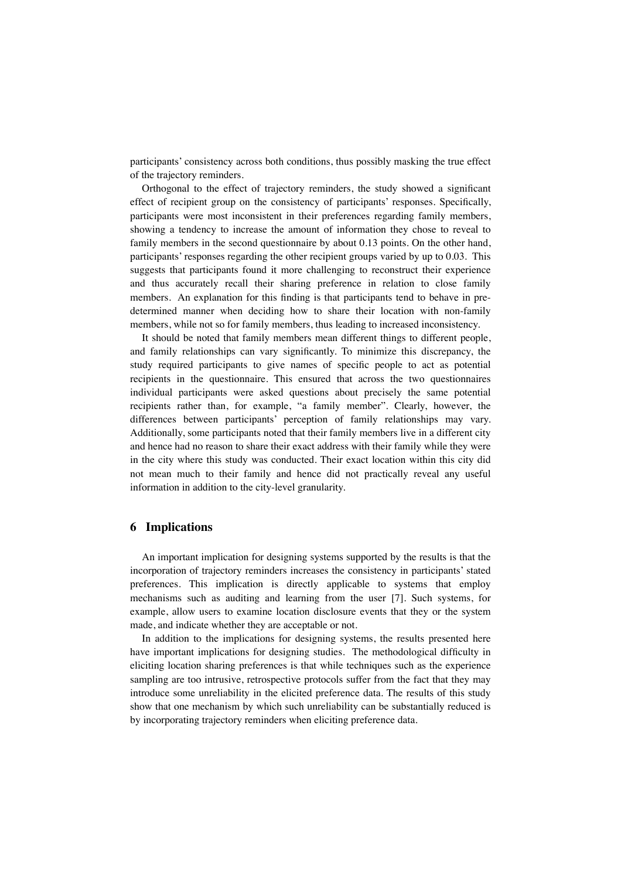participants' consistency across both conditions, thus possibly masking the true effect of the trajectory reminders.

Orthogonal to the effect of trajectory reminders, the study showed a significant effect of recipient group on the consistency of participants' responses. Specifically, participants were most inconsistent in their preferences regarding family members, showing a tendency to increase the amount of information they chose to reveal to family members in the second questionnaire by about 0.13 points. On the other hand, participants' responses regarding the other recipient groups varied by up to 0.03. This suggests that participants found it more challenging to reconstruct their experience and thus accurately recall their sharing preference in relation to close family members. An explanation for this finding is that participants tend to behave in predetermined manner when deciding how to share their location with non-family members, while not so for family members, thus leading to increased inconsistency.

It should be noted that family members mean different things to different people, and family relationships can vary significantly. To minimize this discrepancy, the study required participants to give names of specific people to act as potential recipients in the questionnaire. This ensured that across the two questionnaires individual participants were asked questions about precisely the same potential recipients rather than, for example, "a family member". Clearly, however, the differences between participants' perception of family relationships may vary. Additionally, some participants noted that their family members live in a different city and hence had no reason to share their exact address with their family while they were in the city where this study was conducted. Their exact location within this city did not mean much to their family and hence did not practically reveal any useful information in addition to the city-level granularity.

#### **6 Implications**

An important implication for designing systems supported by the results is that the incorporation of trajectory reminders increases the consistency in participants' stated preferences. This implication is directly applicable to systems that employ mechanisms such as auditing and learning from the user [7]. Such systems, for example, allow users to examine location disclosure events that they or the system made, and indicate whether they are acceptable or not.

In addition to the implications for designing systems, the results presented here have important implications for designing studies. The methodological difficulty in eliciting location sharing preferences is that while techniques such as the experience sampling are too intrusive, retrospective protocols suffer from the fact that they may introduce some unreliability in the elicited preference data. The results of this study show that one mechanism by which such unreliability can be substantially reduced is by incorporating trajectory reminders when eliciting preference data.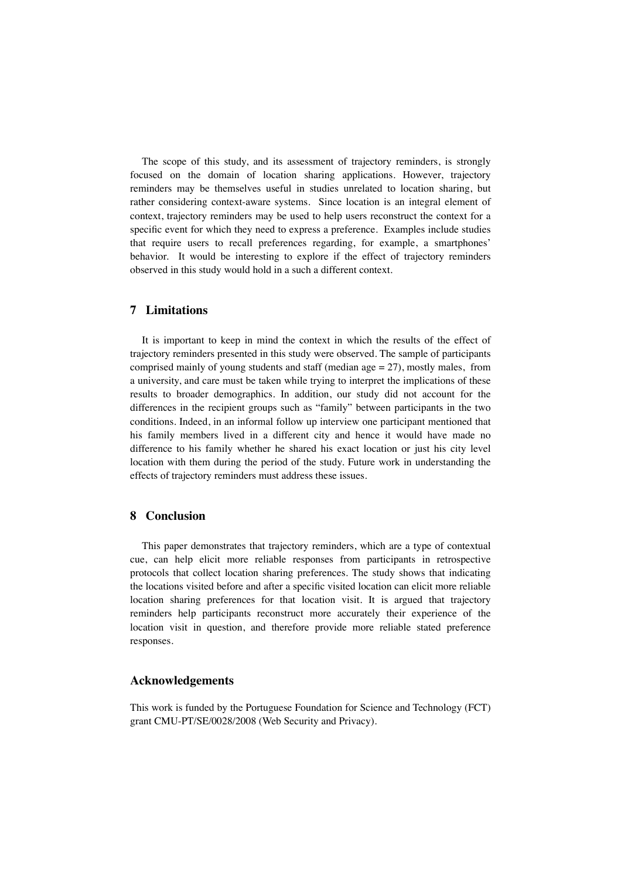The scope of this study, and its assessment of trajectory reminders, is strongly focused on the domain of location sharing applications. However, trajectory reminders may be themselves useful in studies unrelated to location sharing, but rather considering context-aware systems. Since location is an integral element of context, trajectory reminders may be used to help users reconstruct the context for a specific event for which they need to express a preference. Examples include studies that require users to recall preferences regarding, for example, a smartphones' behavior. It would be interesting to explore if the effect of trajectory reminders observed in this study would hold in a such a different context.

## **7 Limitations**

It is important to keep in mind the context in which the results of the effect of trajectory reminders presented in this study were observed. The sample of participants comprised mainly of young students and staff (median age  $= 27$ ), mostly males, from a university, and care must be taken while trying to interpret the implications of these results to broader demographics. In addition, our study did not account for the differences in the recipient groups such as "family" between participants in the two conditions. Indeed, in an informal follow up interview one participant mentioned that his family members lived in a different city and hence it would have made no difference to his family whether he shared his exact location or just his city level location with them during the period of the study. Future work in understanding the effects of trajectory reminders must address these issues.

#### **8 Conclusion**

This paper demonstrates that trajectory reminders, which are a type of contextual cue, can help elicit more reliable responses from participants in retrospective protocols that collect location sharing preferences. The study shows that indicating the locations visited before and after a specific visited location can elicit more reliable location sharing preferences for that location visit. It is argued that trajectory reminders help participants reconstruct more accurately their experience of the location visit in question, and therefore provide more reliable stated preference responses.

#### **Acknowledgements**

This work is funded by the Portuguese Foundation for Science and Technology (FCT) grant CMU-PT/SE/0028/2008 (Web Security and Privacy).